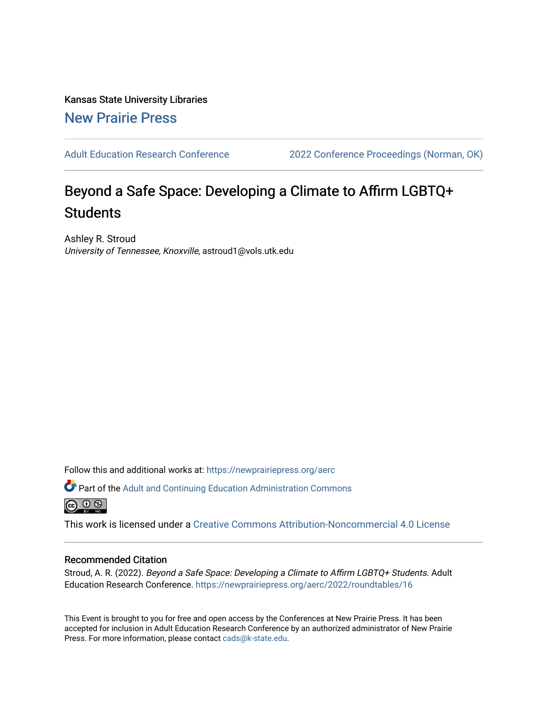Kansas State University Libraries [New Prairie Press](https://newprairiepress.org/) 

[Adult Education Research Conference](https://newprairiepress.org/aerc) [2022 Conference Proceedings \(Norman, OK\)](https://newprairiepress.org/aerc/2022) 

# Beyond a Safe Space: Developing a Climate to Affirm LGBTQ+ **Students**

Ashley R. Stroud University of Tennessee, Knoxville, astroud1@vols.utk.edu

Follow this and additional works at: [https://newprairiepress.org/aerc](https://newprairiepress.org/aerc?utm_source=newprairiepress.org%2Faerc%2F2022%2Froundtables%2F16&utm_medium=PDF&utm_campaign=PDFCoverPages)

Part of the [Adult and Continuing Education Administration Commons](https://network.bepress.com/hgg/discipline/789?utm_source=newprairiepress.org%2Faerc%2F2022%2Froundtables%2F16&utm_medium=PDF&utm_campaign=PDFCoverPages) <u>ெ ெ ⊜</u>

This work is licensed under a [Creative Commons Attribution-Noncommercial 4.0 License](https://creativecommons.org/licenses/by-nc/4.0/)

## Recommended Citation

Stroud, A. R. (2022). Beyond a Safe Space: Developing a Climate to Affirm LGBTQ+ Students. Adult Education Research Conference. <https://newprairiepress.org/aerc/2022/roundtables/16>

This Event is brought to you for free and open access by the Conferences at New Prairie Press. It has been accepted for inclusion in Adult Education Research Conference by an authorized administrator of New Prairie Press. For more information, please contact [cads@k-state.edu.](mailto:cads@k-state.edu)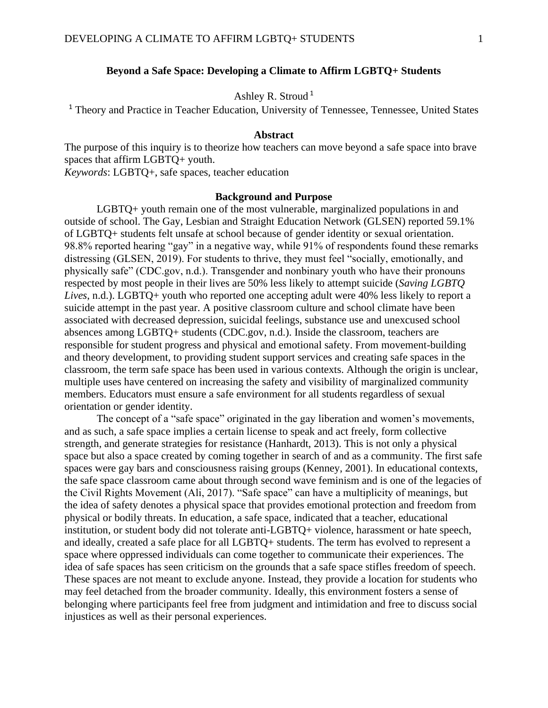## **Beyond a Safe Space: Developing a Climate to Affirm LGBTQ+ Students**

## Ashley R. Stroud <sup>1</sup>

<sup>1</sup> Theory and Practice in Teacher Education, University of Tennessee, Tennessee, United States

## **Abstract**

The purpose of this inquiry is to theorize how teachers can move beyond a safe space into brave spaces that affirm LGBTQ+ youth.

*Keywords*: LGBTQ+, safe spaces, teacher education

## **Background and Purpose**

LGBTQ+ youth remain one of the most vulnerable, marginalized populations in and outside of school. The Gay, Lesbian and Straight Education Network (GLSEN) reported 59.1% of LGBTQ+ students felt unsafe at school because of gender identity or sexual orientation. 98.8% reported hearing "gay" in a negative way, while 91% of respondents found these remarks distressing (GLSEN, 2019). For students to thrive, they must feel "socially, emotionally, and physically safe" (CDC.gov, n.d.). Transgender and nonbinary youth who have their pronouns respected by most people in their lives are 50% less likely to attempt suicide (*Saving LGBTQ Lives*, n.d.). LGBTQ+ youth who reported one accepting adult were 40% less likely to report a suicide attempt in the past year. A positive classroom culture and school climate have been associated with decreased depression, suicidal feelings, substance use and unexcused school absences among LGBTQ+ students (CDC.gov, n.d.). Inside the classroom, teachers are responsible for student progress and physical and emotional safety. From movement-building and theory development, to providing student support services and creating safe spaces in the classroom, the term safe space has been used in various contexts. Although the origin is unclear, multiple uses have centered on increasing the safety and visibility of marginalized community members. Educators must ensure a safe environment for all students regardless of sexual orientation or gender identity.

The concept of a "safe space" originated in the gay liberation and women's movements, and as such, a safe space implies a certain license to speak and act freely, form collective strength, and generate strategies for resistance (Hanhardt, 2013). This is not only a physical space but also a space created by coming together in search of and as a community. The first safe spaces were gay bars and consciousness raising groups (Kenney, 2001). In educational contexts, the safe space classroom came about through second wave feminism and is one of the legacies of the Civil Rights Movement (Ali, 2017). "Safe space" can have a multiplicity of meanings, but the idea of safety denotes a physical space that provides emotional protection and freedom from physical or bodily threats. In education, a safe space, indicated that a teacher, educational institution, or student body did not tolerate anti-LGBTQ+ violence, harassment or hate speech, and ideally, created a safe place for all LGBTQ+ students. The term has evolved to represent a space where oppressed individuals can come together to communicate their experiences. The idea of safe spaces has seen criticism on the grounds that a safe space stifles freedom of speech. These spaces are not meant to exclude anyone. Instead, they provide a location for students who may feel detached from the broader community. Ideally, this environment fosters a sense of belonging where participants feel free from judgment and intimidation and free to discuss social injustices as well as their personal experiences.